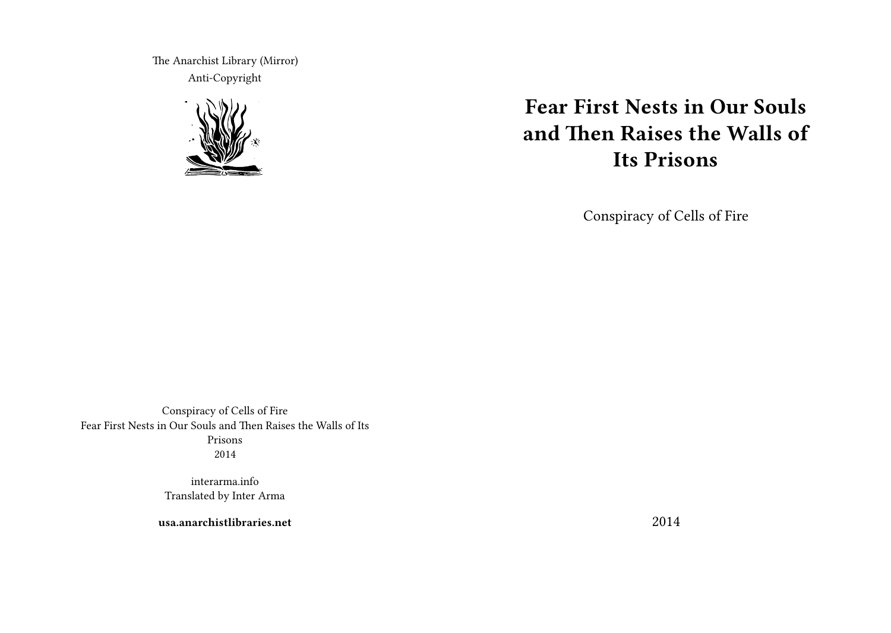The Anarchist Library (Mirror) Anti-Copyright



# **Fear First Nests in Our Souls and Then Raises the Walls of Its Prisons**

Conspiracy of Cells of Fire

Conspiracy of Cells of Fire Fear First Nests in Our Souls and Then Raises the Walls of Its Prisons 2014

> interarma.info Translated by Inter Arma

**usa.anarchistlibraries.net**

2014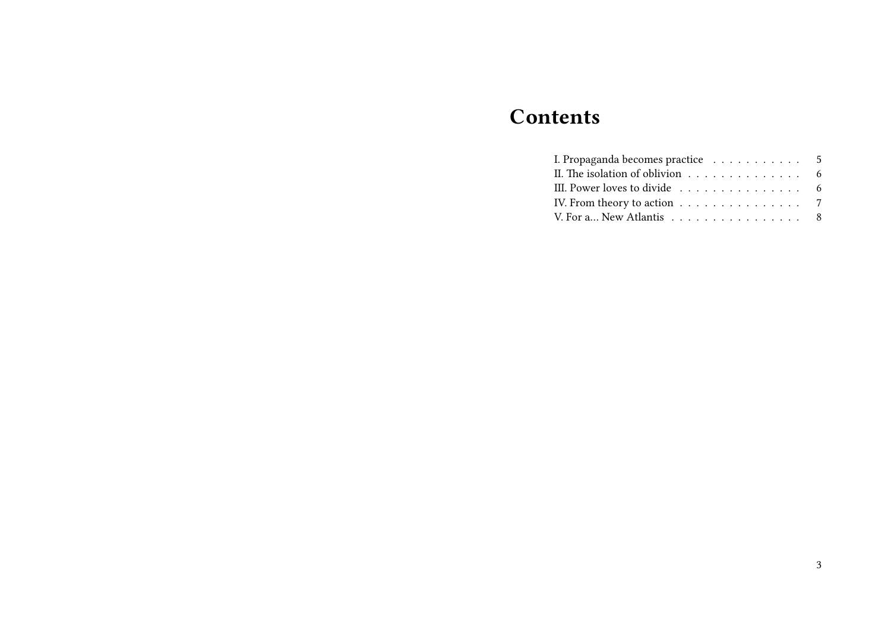# **Contents**

| I. Propaganda becomes practice 5                                  |  |
|-------------------------------------------------------------------|--|
| II. The isolation of oblivion 6                                   |  |
| III. Power loves to divide 6                                      |  |
| IV. From theory to action $\dots \dots \dots \dots \dots \dots$ 7 |  |
| V. For a New Atlantis 8                                           |  |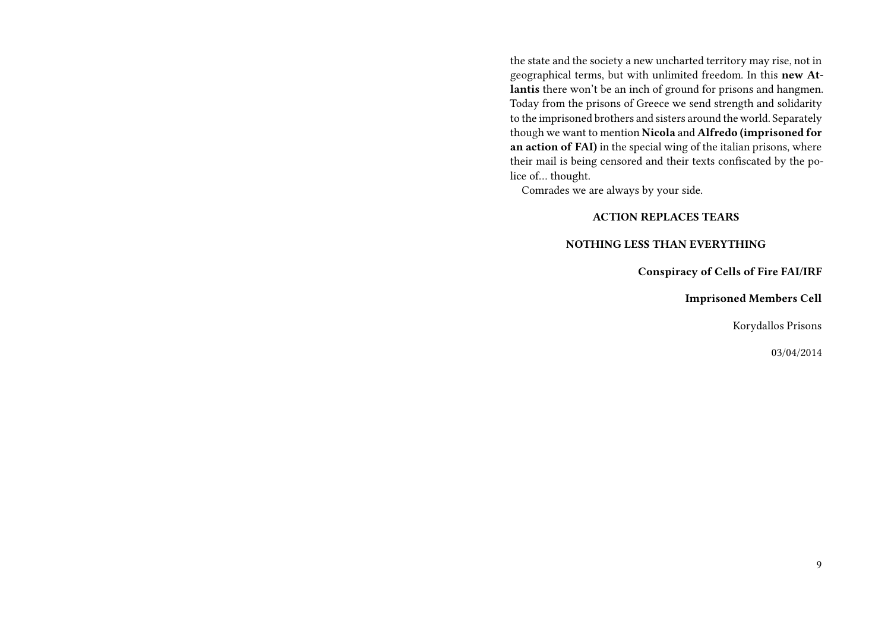the state and the society a new uncharted territory may rise, not in geographical terms, but with unlimited freedom. In this **new Atlantis** there won't be an inch of ground for prisons and hangmen. Today from the prisons of Greece we send strength and solidarity to the imprisoned brothers and sisters around the world. Separately though we want to mention **Nicola** and **Alfredo (imprisoned for an action of FAI)** in the special wing of the italian prisons, where their mail is being censored and their texts confiscated by the police of… thought.

Comrades we are always by your side.

# **ACTION REPLACES TEARS**

### **NOTHING LESS THAN EVERYTHING**

**Conspiracy of Cells of Fire FAI/IRF**

**Imprisoned Members Cell**

Korydallos Prisons

03/04/2014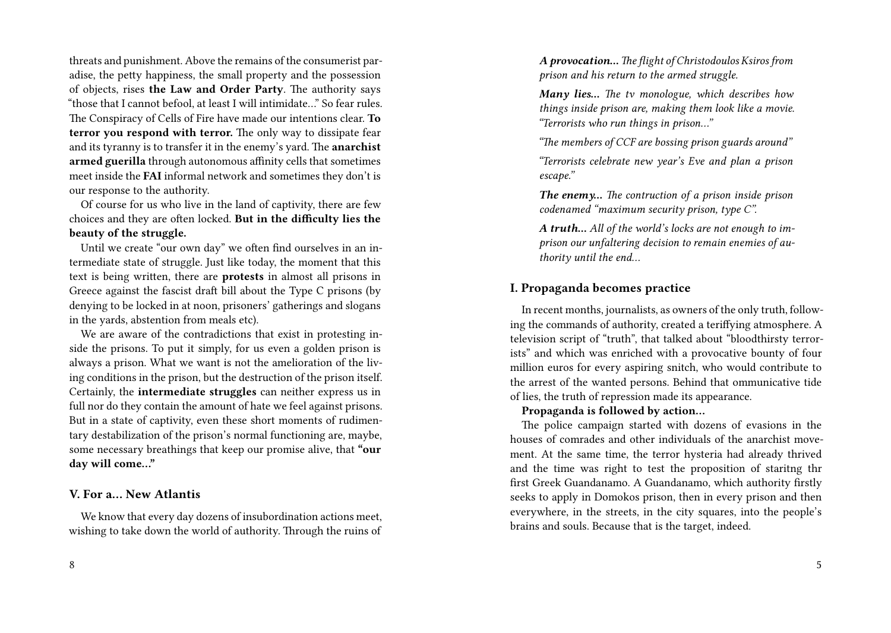threats and punishment. Above the remains of the consumerist paradise, the petty happiness, the small property and the possession of objects, rises **the Law and Order Party**. The authority says "those that I cannot befool, at least I will intimidate…" So fear rules. The Conspiracy of Cells of Fire have made our intentions clear. **To terror you respond with terror.** The only way to dissipate fear and its tyranny is to transfer it in the enemy's yard. The **anarchist armed guerilla** through autonomous affinity cells that sometimes meet inside the **FAI** informal network and sometimes they don't is our response to the authority.

Of course for us who live in the land of captivity, there are few choices and they are often locked. **But in the difficulty lies the beauty of the struggle.**

Until we create "our own day" we often find ourselves in an intermediate state of struggle. Just like today, the moment that this text is being written, there are **protests** in almost all prisons in Greece against the fascist draft bill about the Type C prisons (by denying to be locked in at noon, prisoners' gatherings and slogans in the yards, abstention from meals etc).

We are aware of the contradictions that exist in protesting inside the prisons. To put it simply, for us even a golden prison is always a prison. What we want is not the amelioration of the living conditions in the prison, but the destruction of the prison itself. Certainly, the **intermediate struggles** can neither express us in full nor do they contain the amount of hate we feel against prisons. But in a state of captivity, even these short moments of rudimentary destabilization of the prison's normal functioning are, maybe, some necessary breathings that keep our promise alive, that **"our day will come…"**

### **V. For a… New Atlantis**

We know that every day dozens of insubordination actions meet, wishing to take down the world of authority. Through the ruins of *A provocation… The flight of Christodoulos Ksiros from prison and his return to the armed struggle.*

*Many lies… The tv monologue, which describes how things inside prison are, making them look like a movie. "Terrorists who run things in prison…"*

*"The members of CCF are bossing prison guards around"*

*"Terrorists celebrate new year's Eve and plan a prison escape."*

*The enemy… The contruction of a prison inside prison codenamed "maximum security prison, type C".*

*A truth… All of the world's locks are not enough to imprison our unfaltering decision to remain enemies of authority until the end…*

# **I. Propaganda becomes practice**

In recent months, journalists, as owners of the only truth, following the commands of authority, created a teriffying atmosphere. A television script of "truth", that talked about "bloodthirsty terrorists" and which was enriched with a provocative bounty of four million euros for every aspiring snitch, who would contribute to the arrest of the wanted persons. Behind that ommunicative tide of lies, the truth of repression made its appearance.

### **Propaganda is followed by action…**

The police campaign started with dozens of evasions in the houses of comrades and other individuals of the anarchist movement. At the same time, the terror hysteria had already thrived and the time was right to test the proposition of staritng thr first Greek Guandanamo. A Guandanamo, which authority firstly seeks to apply in Domokos prison, then in every prison and then everywhere, in the streets, in the city squares, into the people's brains and souls. Because that is the target, indeed.